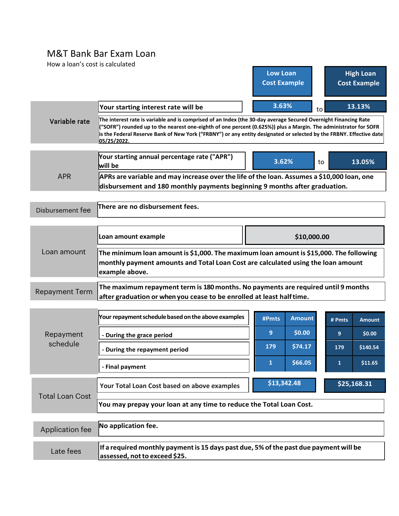## M&T Bank Bar Exam Loan

| How a loan's cost is calculated |                                                                                                                                                                                                                                                                                                                                                            |                            |                         |  |  |  |  |  |  |
|---------------------------------|------------------------------------------------------------------------------------------------------------------------------------------------------------------------------------------------------------------------------------------------------------------------------------------------------------------------------------------------------------|----------------------------|-------------------------|--|--|--|--|--|--|
|                                 |                                                                                                                                                                                                                                                                                                                                                            | <b>Low Loan</b>            | <b>High Loan</b>        |  |  |  |  |  |  |
|                                 |                                                                                                                                                                                                                                                                                                                                                            | <b>Cost Example</b>        | <b>Cost Example</b>     |  |  |  |  |  |  |
|                                 |                                                                                                                                                                                                                                                                                                                                                            | 3.63%                      |                         |  |  |  |  |  |  |
|                                 | Your starting interest rate will be                                                                                                                                                                                                                                                                                                                        |                            | 13.13%<br>to            |  |  |  |  |  |  |
| Variable rate                   | The interest rate is variable and is comprised of an Index (the 30-day average Secured Overnight Financing Rate<br>("SOFR") rounded up to the nearest one-eighth of one percent (0.625%)) plus a Margin. The administrator for SOFR<br>is the Federal Reserve Bank of New York ("FRBNY") or any entity designated or selected by the FRBNY. Effective date |                            |                         |  |  |  |  |  |  |
|                                 | Your starting annual percentage rate ("APR")<br>will be                                                                                                                                                                                                                                                                                                    | 3.62%                      | 13.05%<br>to            |  |  |  |  |  |  |
| <b>APR</b>                      | APRs are variable and may increase over the life of the loan. Assumes a \$10,000 loan, one                                                                                                                                                                                                                                                                 |                            |                         |  |  |  |  |  |  |
|                                 | disbursement and 180 monthly payments beginning 9 months after graduation.                                                                                                                                                                                                                                                                                 |                            |                         |  |  |  |  |  |  |
| Disbursement fee                | There are no disbursement fees.                                                                                                                                                                                                                                                                                                                            |                            |                         |  |  |  |  |  |  |
| Loan amount                     | Loan amount example                                                                                                                                                                                                                                                                                                                                        | \$10,000.00                |                         |  |  |  |  |  |  |
|                                 | The minimum loan amount is \$1,000. The maximum loan amount is \$15,000. The following<br>monthly payment amounts and Total Loan Cost are calculated using the loan amount<br>example above.                                                                                                                                                               |                            |                         |  |  |  |  |  |  |
| <b>Repayment Term</b>           | The maximum repayment term is 180 months. No payments are required until 9 months<br>after graduation or when you cease to be enrolled at least half time.                                                                                                                                                                                                 |                            |                         |  |  |  |  |  |  |
| Repayment<br>schedule           | Your repayment schedule based on the above examples                                                                                                                                                                                                                                                                                                        | <b>Amount</b><br>#Pmts     | # Pmts<br><b>Amount</b> |  |  |  |  |  |  |
|                                 | - During the grace period                                                                                                                                                                                                                                                                                                                                  | 9<br>\$0.00                | \$0.00<br>9             |  |  |  |  |  |  |
|                                 | - During the repayment period                                                                                                                                                                                                                                                                                                                              | 179<br>\$74.17             | 179<br>\$140.54         |  |  |  |  |  |  |
|                                 | - Final payment                                                                                                                                                                                                                                                                                                                                            | \$66.05<br>$\mathbf{1}$    | \$11.65<br>1            |  |  |  |  |  |  |
| <b>Total Loan Cost</b>          | Your Total Loan Cost based on above examples                                                                                                                                                                                                                                                                                                               | \$13,342.48<br>\$25,168.31 |                         |  |  |  |  |  |  |
|                                 | You may prepay your loan at any time to reduce the Total Loan Cost.                                                                                                                                                                                                                                                                                        |                            |                         |  |  |  |  |  |  |
| Application fee                 | No application fee.                                                                                                                                                                                                                                                                                                                                        |                            |                         |  |  |  |  |  |  |
| Late fees                       | If a required monthly payment is 15 days past due, 5% of the past due payment will be<br>assessed, not to exceed \$25.                                                                                                                                                                                                                                     |                            |                         |  |  |  |  |  |  |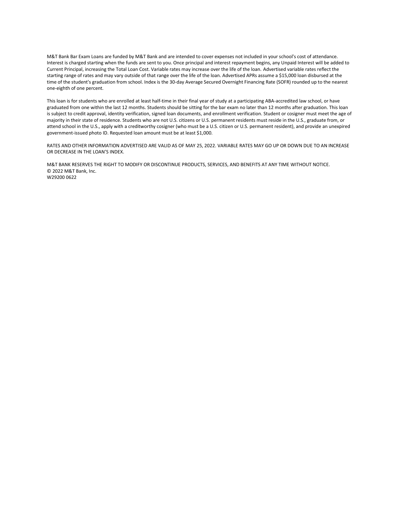M&T Bank Bar Exam Loans are funded by M&T Bank and are intended to cover expenses not included in your school's cost of attendance. Interest is charged starting when the funds are sent to you. Once principal and interest repayment begins, any Unpaid Interest will be added to Current Principal, increasing the Total Loan Cost. Variable rates may increase over the life of the loan. Advertised variable rates reflect the starting range of rates and may vary outside of that range over the life of the loan. Advertised APRs assume a \$15,000 loan disbursed at the time of the student's graduation from school. Index is the 30-day Average Secured Overnight Financing Rate (SOFR) rounded up to the nearest one-eighth of one percent.

This loan is for students who are enrolled at least half-time in their final year of study at a participating ABA-accredited law school, or have graduated from one within the last 12 months. Students should be sitting for the bar exam no later than 12 months after graduation. This loan is subject to credit approval, identity verification, signed loan documents, and enrollment verification. Student or cosigner must meet the age of majority in their state of residence. Students who are not U.S. citizens or U.S. permanent residents must reside in the U.S., graduate from, or attend school in the U.S., apply with a creditworthy cosigner (who must be a U.S. citizen or U.S. permanent resident), and provide an unexpired government-issued photo ID. Requested loan amount must be at least \$1,000.

RATES AND OTHER INFORMATION ADVERTISED ARE VALID AS OF MAY 25, 2022. VARIABLE RATES MAY GO UP OR DOWN DUE TO AN INCREASE OR DECREASE IN THE LOAN'S INDEX.

M&T BANK RESERVES THE RIGHT TO MODIFY OR DISCONTINUE PRODUCTS, SERVICES, AND BENEFITS AT ANY TIME WITHOUT NOTICE. © 2022 M&T Bank, Inc. W29200 0622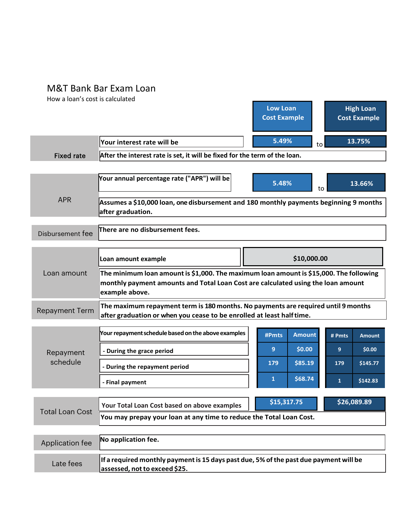## M&T Bank Bar Exam Loan

How a loan's cost is calculated

|                        |                                                                                                                                                                                              |             | <b>Low Loan</b><br><b>Cost Example</b> |               |        | <b>High Loan</b><br><b>Cost Example</b> |  |  |  |
|------------------------|----------------------------------------------------------------------------------------------------------------------------------------------------------------------------------------------|-------------|----------------------------------------|---------------|--------|-----------------------------------------|--|--|--|
|                        | Your interest rate will be                                                                                                                                                                   |             | 5.49%                                  | to            |        | 13.75%                                  |  |  |  |
| <b>Fixed rate</b>      | After the interest rate is set, it will be fixed for the term of the loan.                                                                                                                   |             |                                        |               |        |                                         |  |  |  |
|                        |                                                                                                                                                                                              |             |                                        |               |        |                                         |  |  |  |
| <b>APR</b>             | Your annual percentage rate ("APR") will be                                                                                                                                                  |             | 5.48%                                  | to            |        | 13.66%                                  |  |  |  |
|                        | Assumes a \$10,000 loan, one disbursement and 180 monthly payments beginning 9 months<br>after graduation.                                                                                   |             |                                        |               |        |                                         |  |  |  |
| Disbursement fee       | There are no disbursement fees.                                                                                                                                                              |             |                                        |               |        |                                         |  |  |  |
|                        | Loan amount example                                                                                                                                                                          | \$10,000.00 |                                        |               |        |                                         |  |  |  |
| Loan amount            | The minimum loan amount is \$1,000. The maximum loan amount is \$15,000. The following<br>monthly payment amounts and Total Loan Cost are calculated using the loan amount<br>example above. |             |                                        |               |        |                                         |  |  |  |
| <b>Repayment Term</b>  | The maximum repayment term is 180 months. No payments are required until 9 months<br>after graduation or when you cease to be enrolled at least half time.                                   |             |                                        |               |        |                                         |  |  |  |
| Repayment<br>schedule  | Your repayment schedule based on the above examples                                                                                                                                          |             | #Pmts                                  | <b>Amount</b> | # Pmts | <b>Amount</b>                           |  |  |  |
|                        | - During the grace period                                                                                                                                                                    |             | 9                                      | \$0.00        | 9      | \$0.00                                  |  |  |  |
|                        | - During the repayment period                                                                                                                                                                |             | 179                                    | \$85.19       | 179    | \$145.77                                |  |  |  |
|                        | - Final payment                                                                                                                                                                              |             | $\mathbf{1}$                           | \$68.74       | 1      | \$142.83                                |  |  |  |
|                        | Your Total Loan Cost based on above examples                                                                                                                                                 |             | \$15,317.75                            |               |        | \$26,089.89                             |  |  |  |
| <b>Total Loan Cost</b> | You may prepay your loan at any time to reduce the Total Loan Cost.                                                                                                                          |             |                                        |               |        |                                         |  |  |  |
| Application fee        | No application fee.                                                                                                                                                                          |             |                                        |               |        |                                         |  |  |  |
| Late fees              | If a required monthly payment is 15 days past due, 5% of the past due payment will be<br>assessed, not to exceed \$25.                                                                       |             |                                        |               |        |                                         |  |  |  |